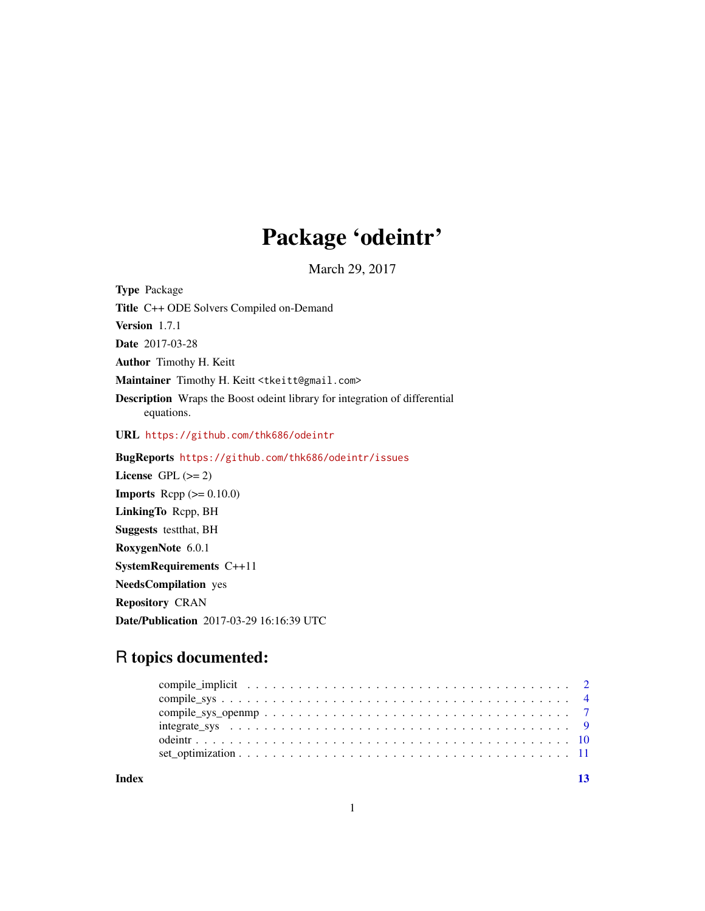## Package 'odeintr'

March 29, 2017

<span id="page-0-0"></span>Type Package Title C++ ODE Solvers Compiled on-Demand Version 1.7.1 Date 2017-03-28 Author Timothy H. Keitt Maintainer Timothy H. Keitt <tkeitt@gmail.com> Description Wraps the Boost odeint library for integration of differential equations. URL <https://github.com/thk686/odeintr> BugReports <https://github.com/thk686/odeintr/issues> License GPL  $(>= 2)$ **Imports** Rcpp  $(>= 0.10.0)$ LinkingTo Rcpp, BH Suggests testthat, BH RoxygenNote 6.0.1

SystemRequirements C++11 NeedsCompilation yes Repository CRAN

Date/Publication 2017-03-29 16:16:39 UTC

## R topics documented:

**Index** [13](#page-12-0)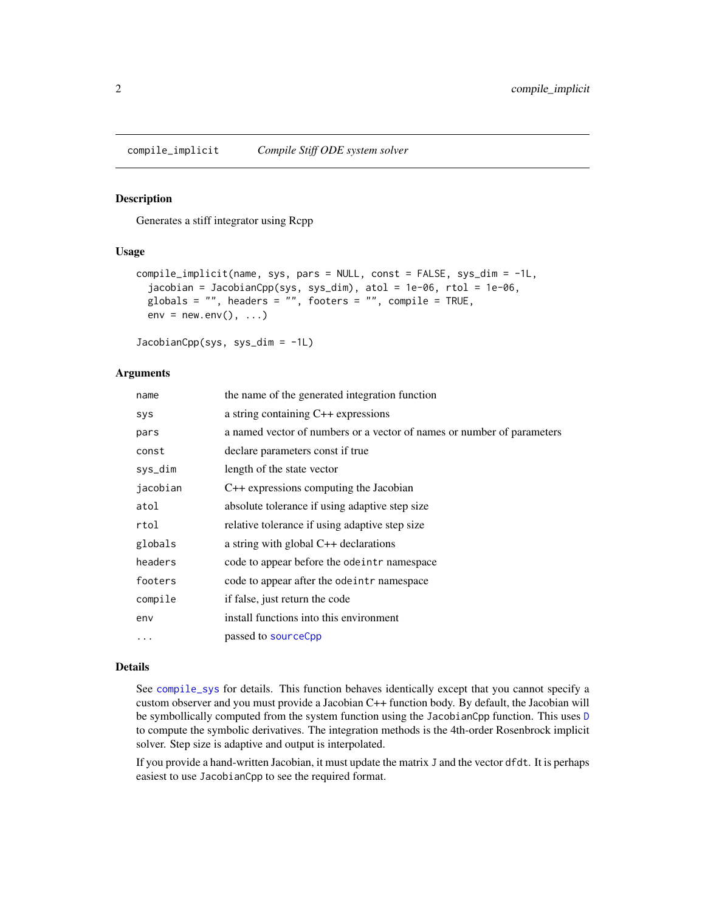<span id="page-1-0"></span>

#### Description

Generates a stiff integrator using Rcpp

#### Usage

```
compile_implicit(name, sys, pars = NULL, const = FALSE, sys_dim = -1L,
  jacobian = JacobianCpp(sys, sys_dim), atol = 1e-06, rtol = 1e-06,
 globals = ", headers = ", footers = ", compile = TRUE,
 env = newenv(), ...)
```
JacobianCpp(sys, sys\_dim = -1L)

## Arguments

| name      | the name of the generated integration function                         |
|-----------|------------------------------------------------------------------------|
| sys       | a string containing C++ expressions                                    |
| pars      | a named vector of numbers or a vector of names or number of parameters |
| const     | declare parameters const if true                                       |
| sys_dim   | length of the state vector                                             |
| jacobian  | $C++$ expressions computing the Jacobian                               |
| atol      | absolute tolerance if using adaptive step size                         |
| rtol      | relative tolerance if using adaptive step size                         |
| globals   | a string with global $C++$ declarations                                |
| headers   | code to appear before the ode intr namespace                           |
| footers   | code to appear after the ode intr namespace                            |
| compile   | if false, just return the code                                         |
| env       | install functions into this environment                                |
| $\ddotsc$ | passed to sourceCpp                                                    |
|           |                                                                        |

#### Details

See [compile\\_sys](#page-3-1) for details. This function behaves identically except that you cannot specify a custom observer and you must provide a Jacobian C++ function body. By default, the Jacobian will be symbollically computed from the system function using the JacobianCpp function. This uses [D](#page-0-0) to compute the symbolic derivatives. The integration methods is the 4th-order Rosenbrock implicit solver. Step size is adaptive and output is interpolated.

If you provide a hand-written Jacobian, it must update the matrix J and the vector dfdt. It is perhaps easiest to use JacobianCpp to see the required format.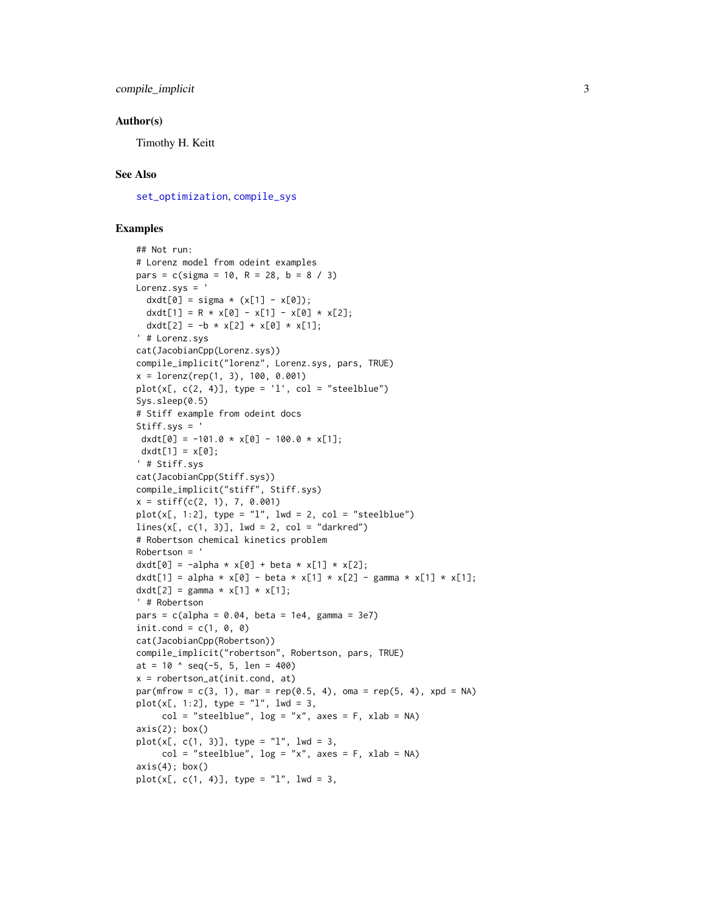#### <span id="page-2-0"></span>Author(s)

Timothy H. Keitt

#### See Also

[set\\_optimization](#page-10-1), [compile\\_sys](#page-3-1)

## Examples

```
## Not run:
# Lorenz model from odeint examples
pars = c(sigma = 10, R = 28, b = 8 / 3)Lorenz.sys = '
  dxdt[0] = sigma * (x[1] - x[0]);dxdt[1] = R * x[0] - x[1] - x[0] * x[2];
 dxdt[2] = -b * x[2] + x[0] * x[1];
' # Lorenz.sys
cat(JacobianCpp(Lorenz.sys))
compile_implicit("lorenz", Lorenz.sys, pars, TRUE)
x = \text{lorenz}(\text{rep}(1, 3), 100, 0.001)plot(x[, c(2, 4)], type = 'l', col = "steelblue")
Sys.sleep(0.5)
# Stiff example from odeint docs
Stiff.sys = '
dxdt[0] = -101.0 * x[0] - 100.0 * x[1];dxdt[1] = x[0];
' # Stiff.sys
cat(JacobianCpp(Stiff.sys))
compile_implicit("stiff", Stiff.sys)
x = stiff(c(2, 1), 7, 0.001)plot(x[, 1:2], type = "l", lwd = 2, col = "steelblue")lines(x[, c(1, 3)], lwd = 2, col = "darkred")# Robertson chemical kinetics problem
Robertson = '
dxdt[0] = -a1pha * x[0] + beta * x[1] * x[2];dxdt[1] = alpha * x[0] - beta * x[1] * x[2] - gamma * x[1] * x[1];
dxdt[2] = gamma * x[1] * x[1];
' # Robertson
pars = c(alpha = 0.04, beta = 1e4, gamma = 3e7)
init.cond = c(1, 0, 0)cat(JacobianCpp(Robertson))
compile_implicit("robertson", Robertson, pars, TRUE)
at = 10 \text{ } seq(-5, 5, len = 400)
x = robertson_at(init.cond, at)
par(mfrow = c(3, 1), mar = rep(0.5, 4), oma = rep(5, 4), xpd = NA)plot(x[, 1:2], type = "1", lwd = 3,col = "steelblue", log = "x", axes = F, xlab = NA)axis(2); box()plot(x[, c(1, 3)], type = "l", lwd = 3,col = "steelblue", log = "x", axes = F, xlab = NA)axis(4); box()plot(x[, c(1, 4)], type = "1", lwd = 3,
```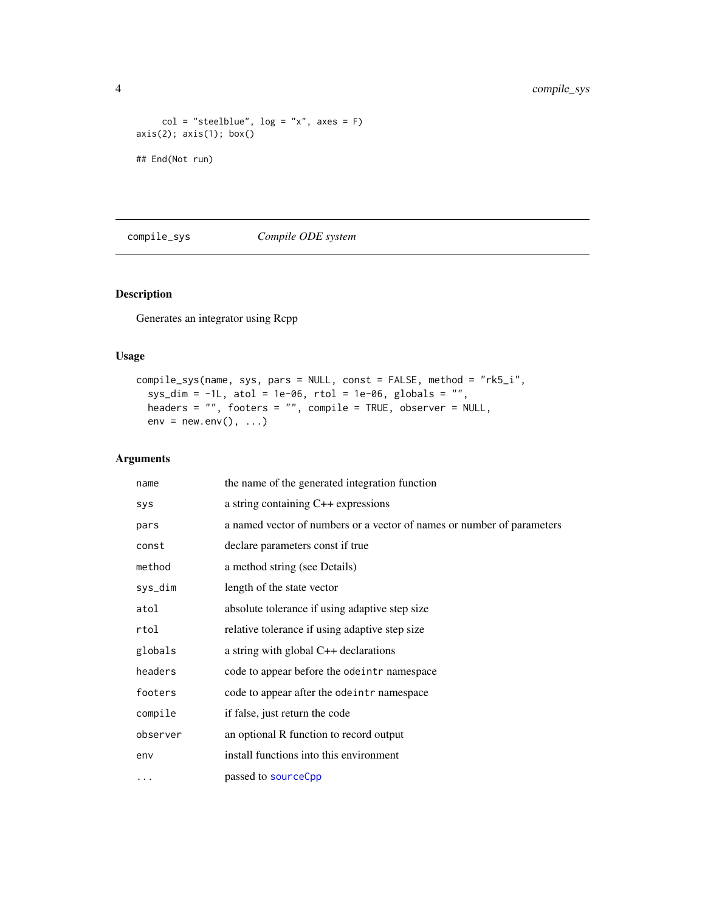```
col = "steelblue", log = "x", axes = F)axis(2); axis(1); box()
## End(Not run)
```
<span id="page-3-1"></span>compile\_sys *Compile ODE system*

## Description

Generates an integrator using Rcpp

## Usage

```
compile_sys(name, sys, pars = NULL, const = FALSE, method = "rk5_i",
 sys_dim = -1L, atol = 1e-06, rtol = 1e-06, globals = "",
 headers = "", footers = "", compile = TRUE, observer = NULL,
 env = newenv(), ...)
```
## Arguments

| name     | the name of the generated integration function                         |
|----------|------------------------------------------------------------------------|
| sys      | a string containing C++ expressions                                    |
| pars     | a named vector of numbers or a vector of names or number of parameters |
| const    | declare parameters const if true                                       |
| method   | a method string (see Details)                                          |
| sys_dim  | length of the state vector                                             |
| atol     | absolute tolerance if using adaptive step size                         |
| rtol     | relative tolerance if using adaptive step size                         |
| globals  | a string with global C++ declarations                                  |
| headers  | code to appear before the odeintr namespace                            |
| footers  | code to appear after the odeintr namespace                             |
| compile  | if false, just return the code                                         |
| observer | an optional R function to record output                                |
| env      | install functions into this environment                                |
| .        | passed to sourceCpp                                                    |

<span id="page-3-0"></span>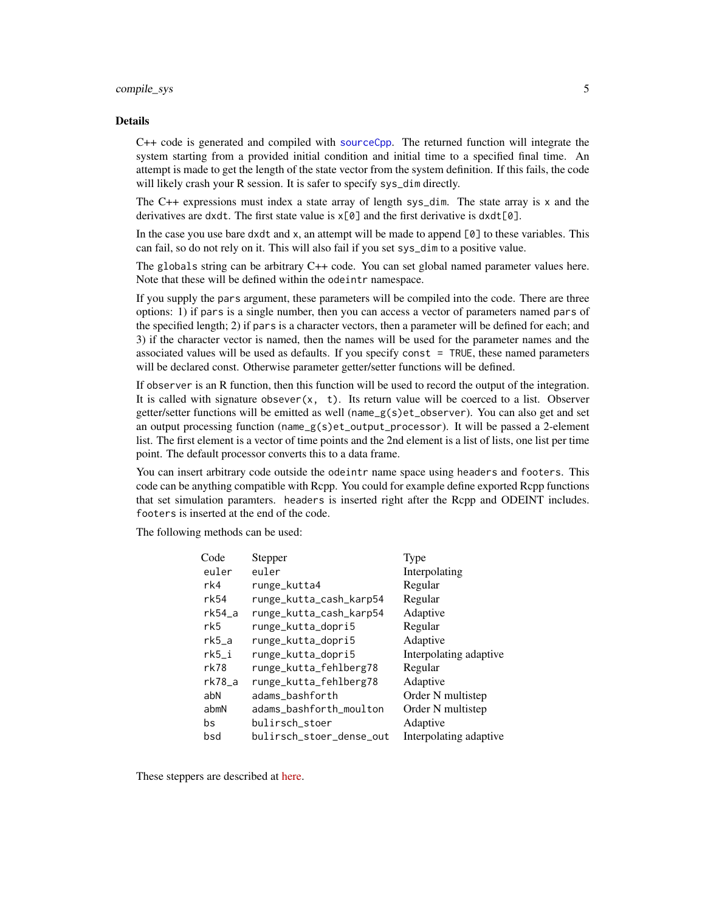#### <span id="page-4-0"></span>compile\_sys 5

#### Details

C++ code is generated and compiled with [sourceCpp](#page-0-0). The returned function will integrate the system starting from a provided initial condition and initial time to a specified final time. An attempt is made to get the length of the state vector from the system definition. If this fails, the code will likely crash your R session. It is safer to specify sys\_dim directly.

The  $C++$  expressions must index a state array of length sys\_dim. The state array is x and the derivatives are dxdt. The first state value is  $x[0]$  and the first derivative is  $dxd[t[0]]$ .

In the case you use bare dxdt and x, an attempt will be made to append [0] to these variables. This can fail, so do not rely on it. This will also fail if you set sys\_dim to a positive value.

The globals string can be arbitrary C++ code. You can set global named parameter values here. Note that these will be defined within the odeintr namespace.

If you supply the pars argument, these parameters will be compiled into the code. There are three options: 1) if pars is a single number, then you can access a vector of parameters named pars of the specified length; 2) if pars is a character vectors, then a parameter will be defined for each; and 3) if the character vector is named, then the names will be used for the parameter names and the associated values will be used as defaults. If you specify const = TRUE, these named parameters will be declared const. Otherwise parameter getter/setter functions will be defined.

If observer is an R function, then this function will be used to record the output of the integration. It is called with signature obsever $(x, t)$ . Its return value will be coerced to a list. Observer getter/setter functions will be emitted as well (name\_g(s)et\_observer). You can also get and set an output processing function (name\_g(s)et\_output\_processor). It will be passed a 2-element list. The first element is a vector of time points and the 2nd element is a list of lists, one list per time point. The default processor converts this to a data frame.

You can insert arbitrary code outside the odeintr name space using headers and footers. This code can be anything compatible with Rcpp. You could for example define exported Rcpp functions that set simulation paramters. headers is inserted right after the Rcpp and ODEINT includes. footers is inserted at the end of the code.

The following methods can be used:

| Code            | <b>Stepper</b>           | Type                   |
|-----------------|--------------------------|------------------------|
| euler           | euler                    | Interpolating          |
| rk <sub>4</sub> | runge_kutta4             | Regular                |
| rk54            | runge_kutta_cash_karp54  | Regular                |
| rk54 a          | runge_kutta_cash_karp54  | Adaptive               |
| rk5             | runge_kutta_dopri5       | Regular                |
| $rk5_a$         | runge_kutta_dopri5       | Adaptive               |
| rk5_i           | runge_kutta_dopri5       | Interpolating adaptive |
| $rk$ 78         | runge_kutta_fehlberg78   | Regular                |
| $rk78$ _a       | runge_kutta_fehlberg78   | Adaptive               |
| abN             | adams bashforth          | Order N multistep      |
| abmN            | adams_bashforth_moulton  | Order N multistep      |
| bs              | bulirsch_stoer           | Adaptive               |
| bsd             | bulirsch_stoer_dense_out | Interpolating adaptive |

These steppers are described at [here.](https://headmyshoulder.github.io/odeint-v2/doc/boost_numeric_odeint/odeint_in_detail/steppers.html#boost_numeric_odeint.odeint_in_detail.steppers.stepper_overview)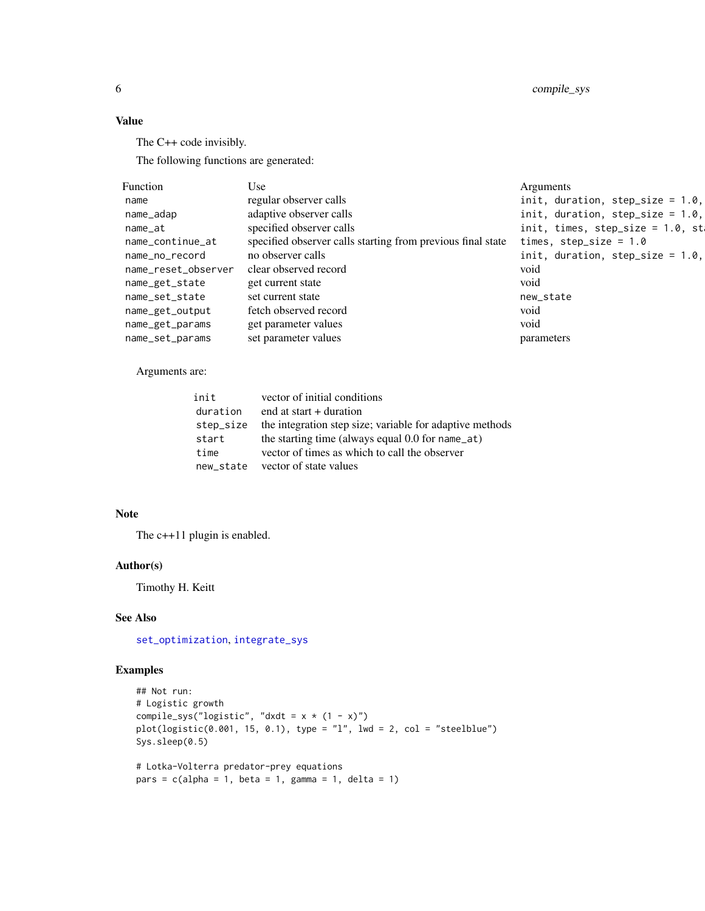<span id="page-5-0"></span>6 compile\_sys

## Value

The C++ code invisibly.

The following functions are generated:

| Function            | Use                                                         | Arguments                            |
|---------------------|-------------------------------------------------------------|--------------------------------------|
| name                | regular observer calls                                      | init, duration, step_size = $1.0$ ,  |
| name_adap           | adaptive observer calls                                     | init, duration, step_size = $1.0$ ,  |
| name_at             | specified observer calls                                    | init, times, step_size = $1.0$ , st. |
| name_continue_at    | specified observer calls starting from previous final state | times, step_size = $1.0$             |
| name_no_record      | no observer calls                                           | init, duration, step_size = $1.0$ ,  |
| name_reset_observer | clear observed record                                       | void                                 |
| name_get_state      | get current state                                           | void                                 |
| name_set_state      | set current state                                           | new_state                            |
| name_get_output     | fetch observed record                                       | void                                 |
| name_get_params     | get parameter values                                        | void                                 |
| name_set_params     | set parameter values                                        | parameters                           |

Arguments are:

| init      | vector of initial conditions                             |
|-----------|----------------------------------------------------------|
| duration  | end at start $+$ duration                                |
| step_size | the integration step size; variable for adaptive methods |
| start     | the starting time (always equal $0.0$ for name_at)       |
| time      | vector of times as which to call the observer            |
| new state | vector of state values                                   |

## Note

The c++11 plugin is enabled.

#### Author(s)

Timothy H. Keitt

#### See Also

[set\\_optimization](#page-10-1), [integrate\\_sys](#page-8-1)

## Examples

```
## Not run:
# Logistic growth
compile_sys("logistic", "dxdt = x * (1 - x)")
plot(logistic(0.001, 15, 0.1), type = "l", lwd = 2, col = "steelblue")
Sys.sleep(0.5)
# Lotka-Volterra predator-prey equations
pars = c(alpha = 1, beta = 1, gamma = 1, delta = 1)
```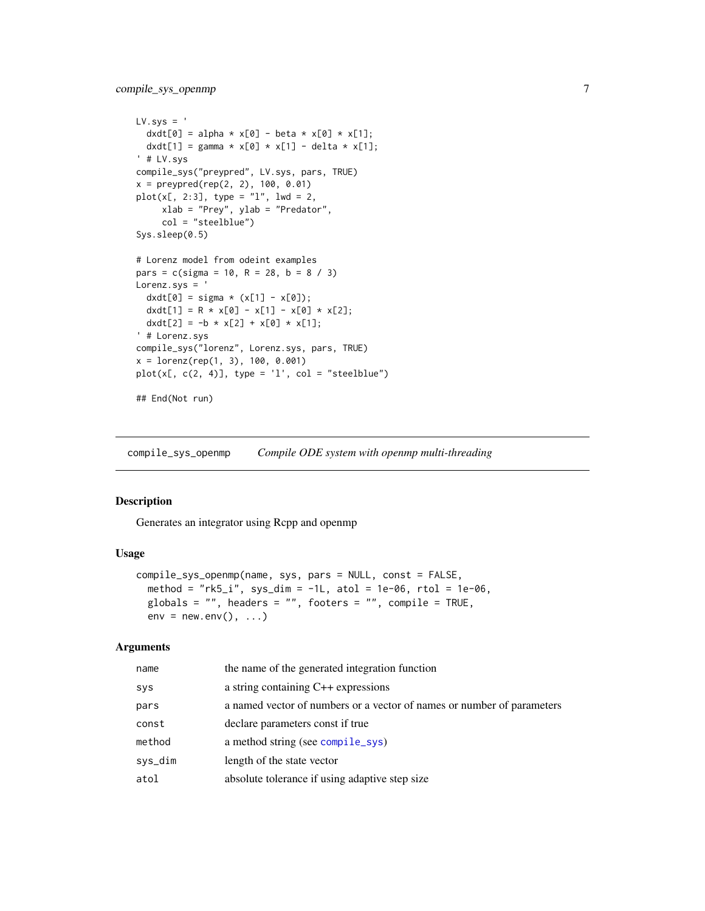```
LV.sys = 'dxdt[0] = alpha * x[0] - beta * x[0] * x[1];
  dxdt[1] = gamma * x[0] * x[1] - delta * x[1];
' # LV.sys
compile_sys("preypred", LV.sys, pars, TRUE)
x = preypred(rep(2, 2), 100, 0.01)
plot(x[, 2:3], type = "1", 1wd = 2,xlab = "Prey", ylab = "Predator",
     col = "steelblue")
Sys.sleep(0.5)
# Lorenz model from odeint examples
pars = c(sigma = 10, R = 28, b = 8 / 3)
Lorenz.sys = '
  dxdt[0] = sigma * (x[1] - x[0]);dxdt[1] = R * x[0] - x[1] - x[0] * x[2];
 dxdt[2] = -b * x[2] + x[0] * x[1];
' # Lorenz.sys
compile_sys("lorenz", Lorenz.sys, pars, TRUE)
x = \text{lorenz}(\text{rep}(1, 3), 100, 0.001)plot(x[, c(2, 4)], type = 'l', col = "steelblue")## End(Not run)
```
compile\_sys\_openmp *Compile ODE system with openmp multi-threading*

#### Description

Generates an integrator using Rcpp and openmp

#### Usage

```
compile_sys_openmp(name, sys, pars = NULL, const = FALSE,
 method = "rk5_i", sys_dim = -1L, atol = 1e-06, rtol = 1e-06,
 globals = ", headers = ", footers = ", compile = TRUE,
 env = newenv(), ...)
```
#### Arguments

| name       | the name of the generated integration function                         |
|------------|------------------------------------------------------------------------|
| <b>SYS</b> | a string containing $C++$ expressions                                  |
| pars       | a named vector of numbers or a vector of names or number of parameters |
| const      | declare parameters const if true                                       |
| method     | a method string (see compile_sys)                                      |
| sys_dim    | length of the state vector                                             |
| atol       | absolute tolerance if using adaptive step size                         |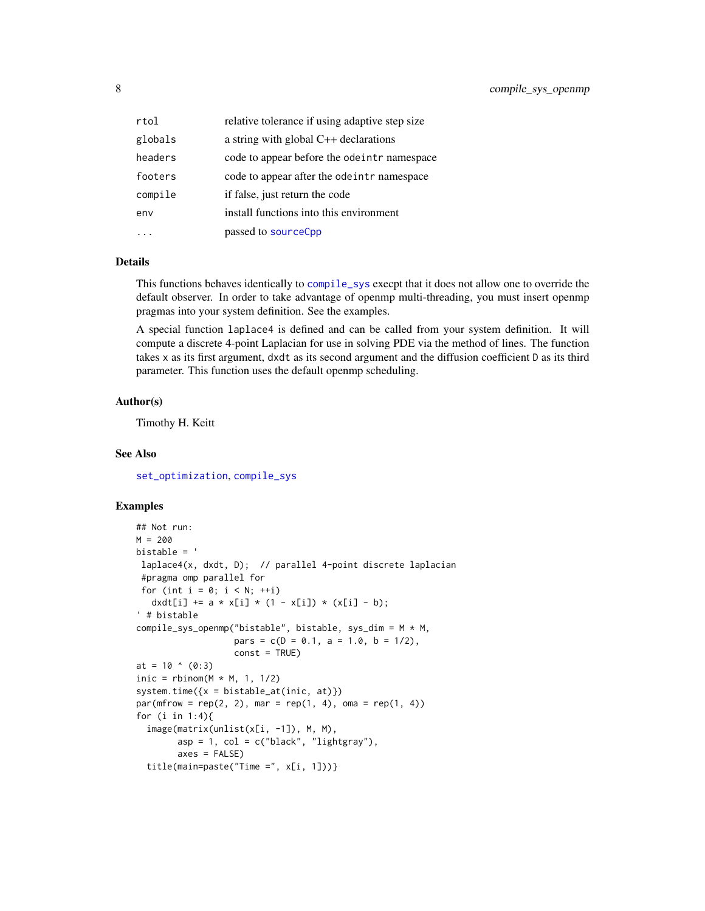<span id="page-7-0"></span>

| rtol    | relative tolerance if using adaptive step size |
|---------|------------------------------------------------|
| globals | a string with global C++ declarations          |
| headers | code to appear before the ode intr namespace   |
| footers | code to appear after the ode intr namespace    |
| compile | if false, just return the code                 |
| env     | install functions into this environment        |
|         | passed to sourceCpp                            |

## Details

This functions behaves identically to [compile\\_sys](#page-3-1) execpt that it does not allow one to override the default observer. In order to take advantage of openmp multi-threading, you must insert openmp pragmas into your system definition. See the examples.

A special function laplace4 is defined and can be called from your system definition. It will compute a discrete 4-point Laplacian for use in solving PDE via the method of lines. The function takes x as its first argument, dxdt as its second argument and the diffusion coefficient D as its third parameter. This function uses the default openmp scheduling.

#### Author(s)

Timothy H. Keitt

#### See Also

[set\\_optimization](#page-10-1), [compile\\_sys](#page-3-1)

#### Examples

```
## Not run:
M = 200bistable = '
laplace4(x, dxdt, D); // parallel 4-point discrete laplacian
 #pragma omp parallel for
 for (int i = 0; i < N; ++i)
  dxdt[i] += a * x[i] * (1 - x[i]) * (x[i] - b);
' # bistable
compile_sys_openmp("bistable", bistable, sys_dim = M * M,
                  pars = c(D = 0.1, a = 1.0, b = 1/2),
                   const = TRUE)
at = 10 \land (0:3)inic = rbinom(M * M, 1, 1/2)system.time({x = bistable_at(inic, at)})par(mfrow = rep(2, 2), mar = rep(1, 4), oma = rep(1, 4))for (i in 1:4){
  image(matrix(unlist(x[i, -1]), M, M),
        asp = 1, col = c("black", "lightgray"),axes = FALSE)title(main=paste("Time =", x[i, 1]))}
```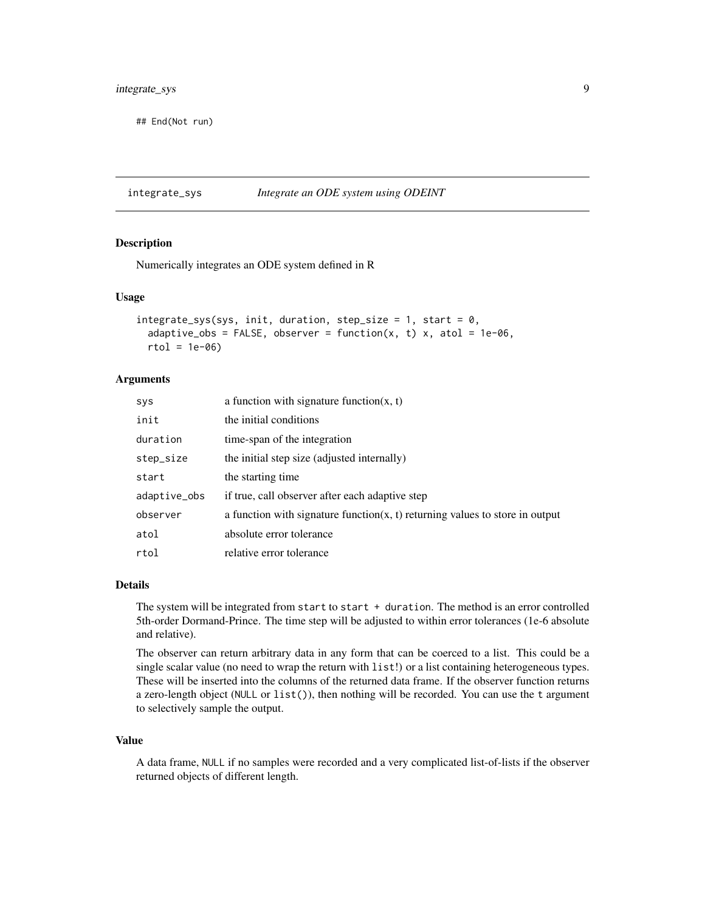## <span id="page-8-0"></span>integrate\_sys 9

## End(Not run)

<span id="page-8-1"></span>integrate\_sys *Integrate an ODE system using ODEINT*

#### Description

Numerically integrates an ODE system defined in R

#### Usage

```
integrate\_sys(sys, init, duration, step_size = 1, start = 0,adaptive_obs = FALSE, observer = function(x, t) x, atol = 1e-06,rtol = 1e-06
```
#### Arguments

| <b>SYS</b>   | a function with signature function $(x, t)$                                         |
|--------------|-------------------------------------------------------------------------------------|
| init         | the initial conditions                                                              |
| duration     | time-span of the integration                                                        |
| step_size    | the initial step size (adjusted internally)                                         |
| start        | the starting time                                                                   |
| adaptive_obs | if true, call observer after each adaptive step                                     |
| observer     | a function with signature function( $x$ , $t$ ) returning values to store in output |
| atol         | absolute error tolerance                                                            |
| rtol         | relative error tolerance                                                            |

#### **Details**

The system will be integrated from start to start  $+$  duration. The method is an error controlled 5th-order Dormand-Prince. The time step will be adjusted to within error tolerances (1e-6 absolute and relative).

The observer can return arbitrary data in any form that can be coerced to a list. This could be a single scalar value (no need to wrap the return with list!) or a list containing heterogeneous types. These will be inserted into the columns of the returned data frame. If the observer function returns a zero-length object (NULL or list()), then nothing will be recorded. You can use the t argument to selectively sample the output.

## Value

A data frame, NULL if no samples were recorded and a very complicated list-of-lists if the observer returned objects of different length.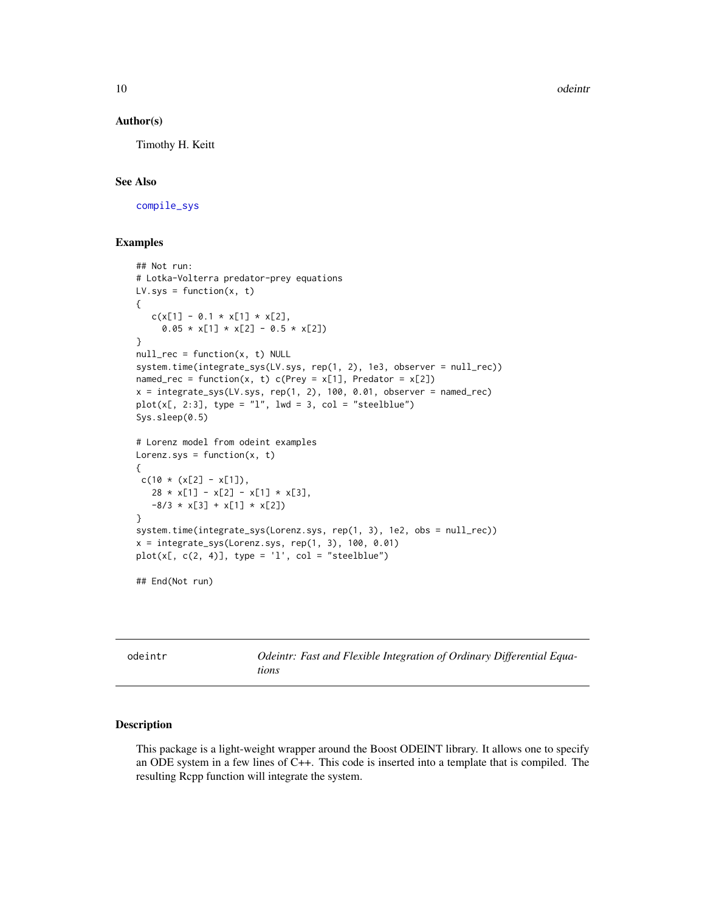10 odeintr

#### Author(s)

Timothy H. Keitt

#### See Also

[compile\\_sys](#page-3-1)

#### Examples

```
## Not run:
# Lotka-Volterra predator-prey equations
LV.sys = function(x, t){
   c(x[1] - 0.1 \times x[1] \times x[2],0.05 * x[1] * x[2] - 0.5 * x[2])}
null_rec = function(x, t) NULL
system.time(integrate_sys(LV.sys, rep(1, 2), 1e3, observer = null_rec))
named_rec = function(x, t) c(Prey = x[1], Predator = x[2])
x = integrate_sys(LV.sys, rep(1, 2), 100, 0.01, observer = named_rec)
plot(x[, 2:3], type = "l", lwd = 3, col = "steelblue")Sys.sleep(0.5)
# Lorenz model from odeint examples
Lorenz.sys = function(x, t){
c(10 * (x[2] - x[1]),28 \times x[1] - x[2] - x[1] \times x[3],-8/3 \times x[3] + x[1] \times x[2])}
system.time(integrate_sys(Lorenz.sys, rep(1, 3), 1e2, obs = null_rec))
x = integrate_sys(Lorenz.sys, rep(1, 3), 100, 0.01)
plot(x[, c(2, 4)], type = 'l', col = "steelblue")
```
## End(Not run)

odeintr *Odeintr: Fast and Flexible Integration of Ordinary Differential Equations*

#### Description

This package is a light-weight wrapper around the Boost ODEINT library. It allows one to specify an ODE system in a few lines of C++. This code is inserted into a template that is compiled. The resulting Rcpp function will integrate the system.

<span id="page-9-0"></span>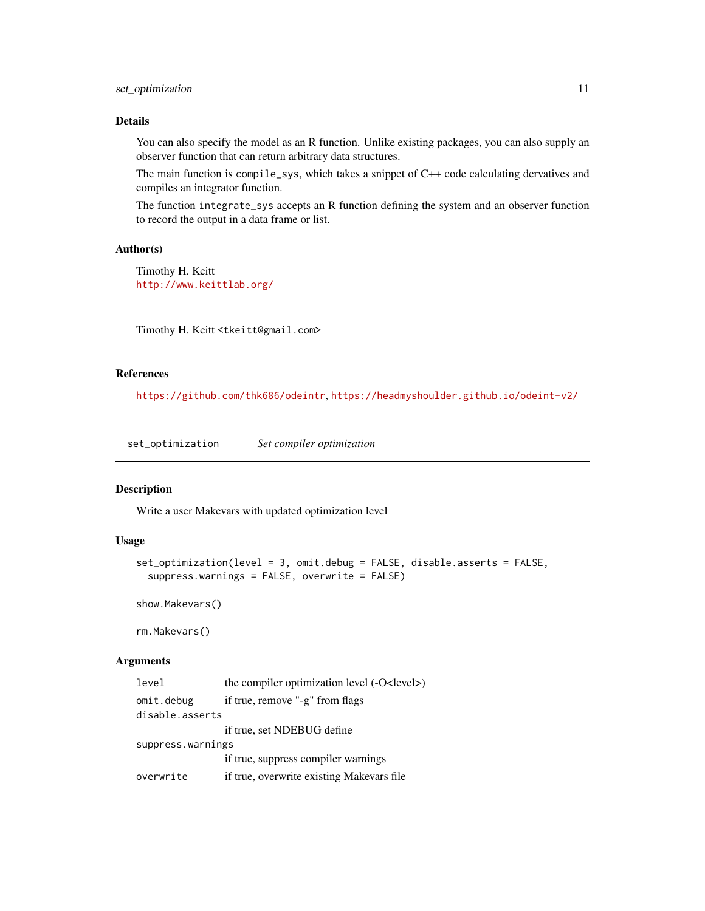## <span id="page-10-0"></span>set\_optimization 11

#### Details

You can also specify the model as an R function. Unlike existing packages, you can also supply an observer function that can return arbitrary data structures.

The main function is compile\_sys, which takes a snippet of C++ code calculating dervatives and compiles an integrator function.

The function integrate\_sys accepts an R function defining the system and an observer function to record the output in a data frame or list.

#### Author(s)

Timothy H. Keitt <http://www.keittlab.org/>

Timothy H. Keitt <tkeitt@gmail.com>

## References

<https://github.com/thk686/odeintr>, <https://headmyshoulder.github.io/odeint-v2/>

<span id="page-10-1"></span>set\_optimization *Set compiler optimization*

#### Description

Write a user Makevars with updated optimization level

#### Usage

```
set_optimization(level = 3, omit.debug = FALSE, disable.asserts = FALSE,
  suppress.warnings = FALSE, overwrite = FALSE)
```
show.Makevars()

rm.Makevars()

#### Arguments

```
level the compiler optimization level (-O<level>)
omit.debug if true, remove "-g" from flags
disable.asserts
                if true, set NDEBUG define
suppress.warnings
                if true, suppress compiler warnings
overwrite if true, overwrite existing Makevars file
```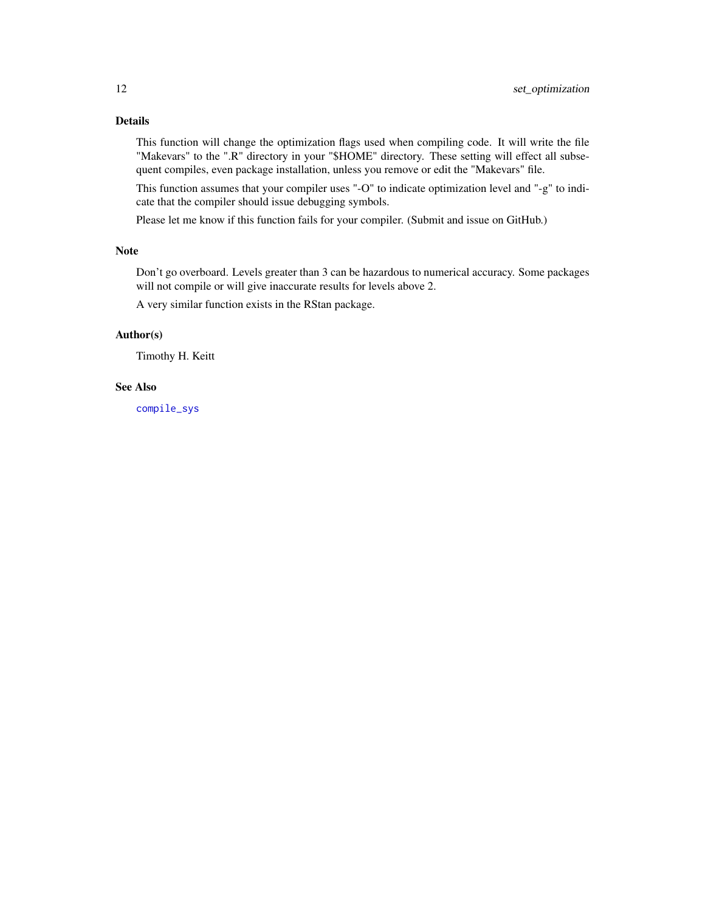#### <span id="page-11-0"></span>Details

This function will change the optimization flags used when compiling code. It will write the file "Makevars" to the ".R" directory in your "\$HOME" directory. These setting will effect all subsequent compiles, even package installation, unless you remove or edit the "Makevars" file.

This function assumes that your compiler uses "-O" to indicate optimization level and "-g" to indicate that the compiler should issue debugging symbols.

Please let me know if this function fails for your compiler. (Submit and issue on GitHub.)

## Note

Don't go overboard. Levels greater than 3 can be hazardous to numerical accuracy. Some packages will not compile or will give inaccurate results for levels above 2.

A very similar function exists in the RStan package.

## Author(s)

Timothy H. Keitt

#### See Also

[compile\\_sys](#page-3-1)